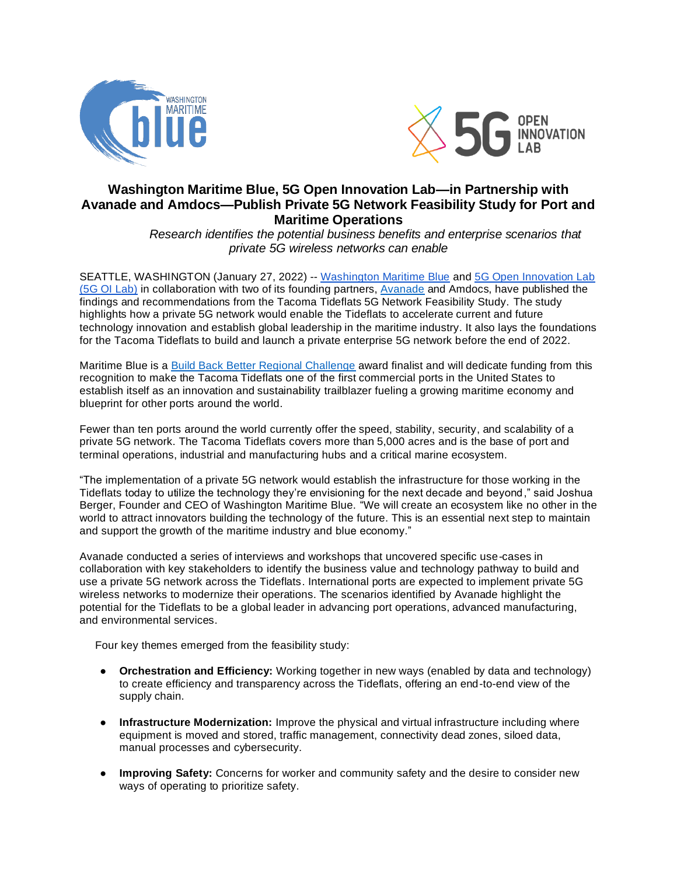



## **Washington Maritime Blue, 5G Open Innovation Lab—in Partnership with Avanade and Amdocs—Publish Private 5G Network Feasibility Study for Port and Maritime Operations**

 *Research identifies the potential business benefits and enterprise scenarios that private 5G wireless networks can enable*

SEATTLE, WASHINGTON (January 27, 2022) -- [Washington Maritime Blue](https://maritimeblue.org/) and [5G Open Innovation Lab](https://5goilab.com/) (5G OI Lab) in collaboration with two of its founding partners, [Avanade](http://www.avanade.com/) and Amdocs, have published the findings and recommendations from the Tacoma Tideflats 5G Network Feasibility Study. The study highlights how a private 5G network would enable the Tideflats to accelerate current and future technology innovation and establish global leadership in the maritime industry. It also lays the foundations for the Tacoma Tideflats to build and launch a private enterprise 5G network before the end of 2022.

Maritime Blue is a [Build Back Better Regional Challenge](https://maritimeblue.org/build-back-blue/) award finalist and will dedicate funding from this recognition to make the Tacoma Tideflats one of the first commercial ports in the United States to establish itself as an innovation and sustainability trailblazer fueling a growing maritime economy and blueprint for other ports around the world.

Fewer than ten ports around the world currently offer the speed, stability, security, and scalability of a private 5G network. The Tacoma Tideflats covers more than 5,000 acres and is the base of port and terminal operations, industrial and manufacturing hubs and a critical marine ecosystem.

"The implementation of a private 5G network would establish the infrastructure for those working in the Tideflats today to utilize the technology they're envisioning for the next decade and beyond," said Joshua Berger, Founder and CEO of Washington Maritime Blue. "We will create an ecosystem like no other in the world to attract innovators building the technology of the future. This is an essential next step to maintain and support the growth of the maritime industry and blue economy."

Avanade conducted a series of interviews and workshops that uncovered specific use-cases in collaboration with key stakeholders to identify the business value and technology pathway to build and use a private 5G network across the Tideflats. International ports are expected to implement private 5G wireless networks to modernize their operations. The scenarios identified by Avanade highlight the potential for the Tideflats to be a global leader in advancing port operations, advanced manufacturing, and environmental services.

Four key themes emerged from the feasibility study:

- **•** Orchestration and Efficiency: Working together in new ways (enabled by data and technology) to create efficiency and transparency across the Tideflats, offering an end-to-end view of the supply chain.
- **Infrastructure Modernization:** Improve the physical and virtual infrastructure including where equipment is moved and stored, traffic management, connectivity dead zones, siloed data, manual processes and cybersecurity.
- **Improving Safety:** Concerns for worker and community safety and the desire to consider new ways of operating to prioritize safety.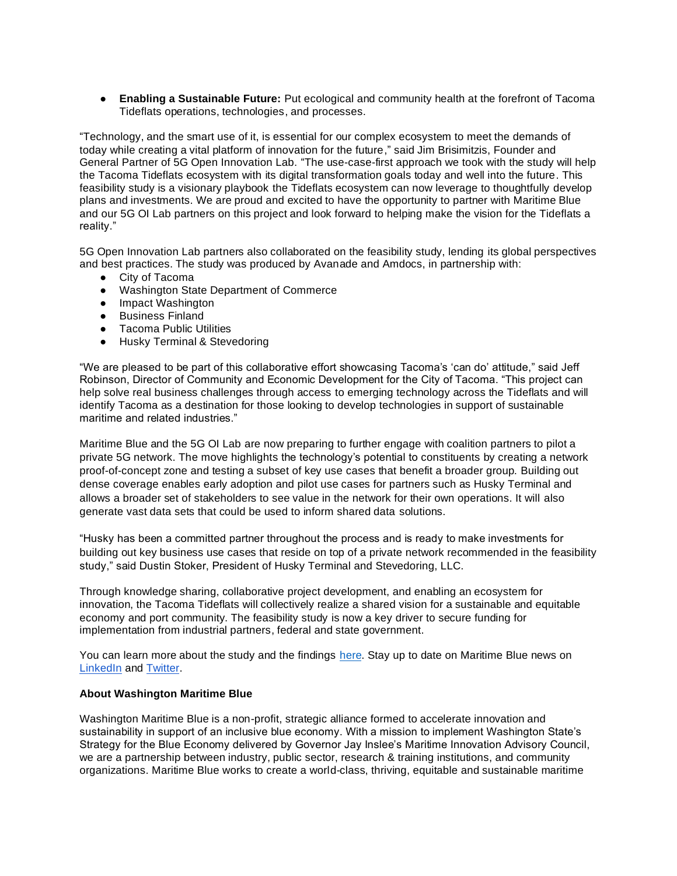● **Enabling a Sustainable Future:** Put ecological and community health at the forefront of Tacoma Tideflats operations, technologies, and processes.

"Technology, and the smart use of it, is essential for our complex ecosystem to meet the demands of today while creating a vital platform of innovation for the future," said Jim Brisimitzis, Founder and General Partner of 5G Open Innovation Lab. "The use-case-first approach we took with the study will help the Tacoma Tideflats ecosystem with its digital transformation goals today and well into the future. This feasibility study is a visionary playbook the Tideflats ecosystem can now leverage to thoughtfully develop plans and investments. We are proud and excited to have the opportunity to partner with Maritime Blue and our 5G OI Lab partners on this project and look forward to helping make the vision for the Tideflats a reality."

5G Open Innovation Lab partners also collaborated on the feasibility study, lending its global perspectives and best practices. The study was produced by Avanade and Amdocs, in partnership with:

- City of Tacoma
- Washington State Department of Commerce
- Impact Washington
- Business Finland
- Tacoma Public Utilities
- Husky Terminal & Stevedoring

"We are pleased to be part of this collaborative effort showcasing Tacoma's 'can do' attitude," said Jeff Robinson, Director of Community and Economic Development for the City of Tacoma. "This project can help solve real business challenges through access to emerging technology across the Tideflats and will identify Tacoma as a destination for those looking to develop technologies in support of sustainable maritime and related industries."

Maritime Blue and the 5G OI Lab are now preparing to further engage with coalition partners to pilot a private 5G network. The move highlights the technology's potential to constituents by creating a network proof-of-concept zone and testing a subset of key use cases that benefit a broader group. Building out dense coverage enables early adoption and pilot use cases for partners such as Husky Terminal and allows a broader set of stakeholders to see value in the network for their own operations. It will also generate vast data sets that could be used to inform shared data solutions.

"Husky has been a committed partner throughout the process and is ready to make investments for building out key business use cases that reside on top of a private network recommended in the feasibility study," said Dustin Stoker, President of Husky Terminal and Stevedoring, LLC.

Through knowledge sharing, collaborative project development, and enabling an ecosystem for innovation, the Tacoma Tideflats will collectively realize a shared vision for a sustainable and equitable economy and port community. The feasibility study is now a key driver to secure funding for implementation from industrial partners, federal and state government.

You can learn more about the study and the findings [here.](https://maritimeblue.org/joint-innovation-projects/5g-feasibility-study) Stay up to date on Maritime Blue news on [LinkedIn](https://www.linkedin.com/company/wamaritimeblue/) and [Twitter.](https://twitter.com/maritime_blue)

## **About Washington Maritime Blue**

Washington Maritime Blue is a non-profit, strategic alliance formed to accelerate innovation and sustainability in support of an inclusive blue economy. With a mission to implement Washington State's Strategy for the Blue Economy delivered by Governor Jay Inslee's Maritime Innovation Advisory Council, we are a partnership between industry, public sector, research & training institutions, and community organizations. Maritime Blue works to create a world-class, thriving, equitable and sustainable maritime